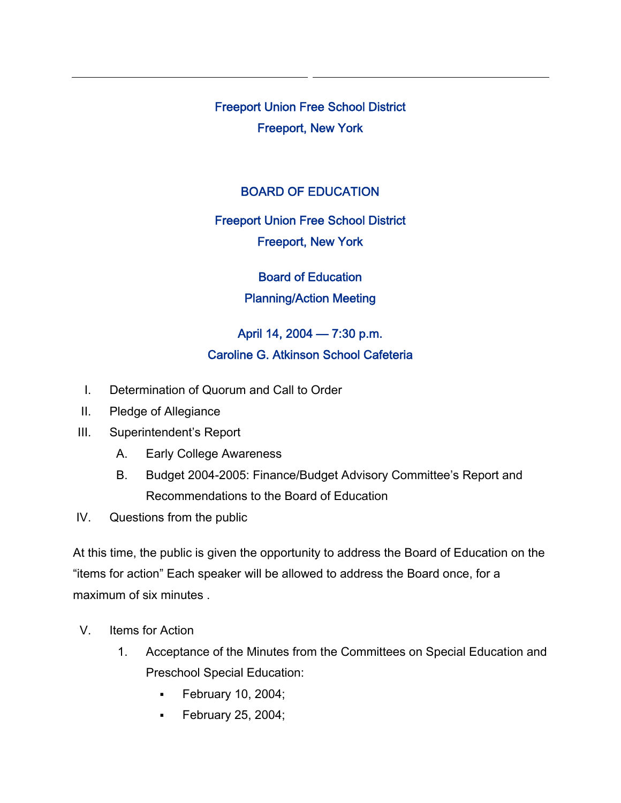Freeport Union Free School District Freeport, New York

## BOARD OF EDUCATION

Freeport Union Free School District Freeport, New York

Board of Education Planning/Action Meeting

April 14, 2004 — 7:30 p.m. Caroline G. Atkinson School Cafeteria

- I. Determination of Quorum and Call to Order
- II. Pledge of Allegiance
- III. Superintendent's Report
	- A. Early College Awareness
	- B. Budget 2004-2005: Finance/Budget Advisory Committee's Report and Recommendations to the Board of Education
- IV. Questions from the public

At this time, the public is given the opportunity to address the Board of Education on the "items for action" Each speaker will be allowed to address the Board once, for a maximum of six minutes .

- V. Items for Action
	- 1. Acceptance of the Minutes from the Committees on Special Education and Preschool Special Education:
		- **February 10, 2004;**
		- **February 25, 2004;**